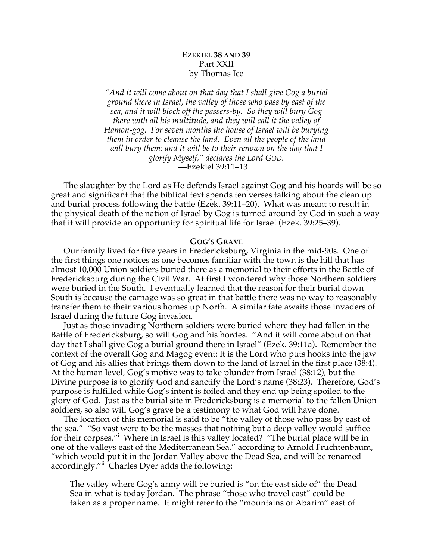# **EZEKIEL 38 AND 39** Part XXII by Thomas Ice

*"And it will come about on that day that I shall give Gog a burial ground there in Israel, the valley of those who pass by east of the sea, and it will block off the passers-by. So they will bury Gog there with all his multitude, and they will call it the valley of Hamon-gog. For seven months the house of Israel will be burying them in order to cleanse the land. Even all the people of the land will bury them; and it will be to their renown on the day that I glorify Myself," declares the Lord GOD.* —Ezekiel 39:11–13

The slaughter by the Lord as He defends Israel against Gog and his hoards will be so great and significant that the biblical text spends ten verses talking about the clean up and burial process following the battle (Ezek. 39:11–20). What was meant to result in the physical death of the nation of Israel by Gog is turned around by God in such a way that it will provide an opportunity for spiritual life for Israel (Ezek. 39:25–39).

### **GOG'S GRAVE**

Our family lived for five years in Fredericksburg, Virginia in the mid-90s. One of the first things one notices as one becomes familiar with the town is the hill that has almost 10,000 Union soldiers buried there as a memorial to their efforts in the Battle of Fredericksburg during the Civil War. At first I wondered why those Northern soldiers were buried in the South. I eventually learned that the reason for their burial down South is because the carnage was so great in that battle there was no way to reasonably transfer them to their various homes up North. A similar fate awaits those invaders of Israel during the future Gog invasion.

Just as those invading Northern soldiers were buried where they had fallen in the Battle of Fredericksburg, so will Gog and his hordes. "And it will come about on that day that I shall give Gog a burial ground there in Israel" (Ezek. 39:11a). Remember the context of the overall Gog and Magog event: It is the Lord who puts hooks into the jaw of Gog and his allies that brings them down to the land of Israel in the first place (38:4). At the human level, Gog's motive was to take plunder from Israel (38:12), but the Divine purpose is to glorify God and sanctify the Lord's name (38:23). Therefore, God's purpose is fulfilled while Gog's intent is foiled and they end up being spoiled to the glory of God. Just as the burial site in Fredericksburg is a memorial to the fallen Union soldiers, so also will Gog's grave be a testimony to what God will have done.

The location of this memorial is said to be "the valley of those who pass by east of the sea." "So vast were to be the masses that nothing but a deep valley would suffice for their corpses."i Where in Israel is this valley located? "The burial place will be in one of the valleys east of the Mediterranean Sea," according to Arnold Fruchtenbaum, "which would put it in the Jordan Valley above the Dead Sea, and will be renamed accordingly."<sup>ii</sup> Charles Dyer adds the following:

The valley where Gog's army will be buried is "on the east side of" the Dead Sea in what is today Jordan. The phrase "those who travel east" could be taken as a proper name. It might refer to the "mountains of Abarim" east of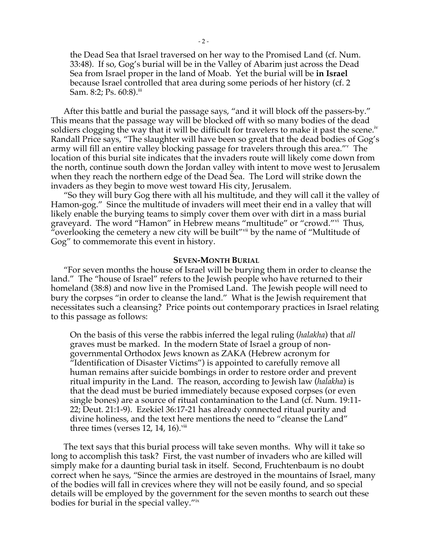the Dead Sea that Israel traversed on her way to the Promised Land (cf. Num. 33:48). If so, Gog's burial will be in the Valley of Abarim just across the Dead Sea from Israel proper in the land of Moab. Yet the burial will be **in Israel**  because Israel controlled that area during some periods of her history (cf. 2 Sam. 8:2; Ps.  $60:8$ ).<sup>iii</sup>

After this battle and burial the passage says, "and it will block off the passers-by." This means that the passage way will be blocked off with so many bodies of the dead soldiers clogging the way that it will be difficult for travelers to make it past the scene.<sup>iv</sup> Randall Price says, "The slaughter will have been so great that the dead bodies of Gog's army will fill an entire valley blocking passage for travelers through this area."v The location of this burial site indicates that the invaders route will likely come down from the north, continue south down the Jordan valley with intent to move west to Jerusalem when they reach the northern edge of the Dead Sea. The Lord will strike down the invaders as they begin to move west toward His city, Jerusalem.

"So they will bury Gog there with all his multitude, and they will call it the valley of Hamon-gog." Since the multitude of invaders will meet their end in a valley that will likely enable the burying teams to simply cover them over with dirt in a mass burial graveyard. The word "Hamon" in Hebrew means "multitude" or "crowd."vi Thus, "overlooking the cemetery a new city will be built"<sup>vii</sup> by the name of "Multitude of Gog" to commemorate this event in history.

#### **SEVEN-MONTH BURIAL**

"For seven months the house of Israel will be burying them in order to cleanse the land." The "house of Israel" refers to the Jewish people who have returned to their homeland (38:8) and now live in the Promised Land. The Jewish people will need to bury the corpses "in order to cleanse the land." What is the Jewish requirement that necessitates such a cleansing? Price points out contemporary practices in Israel relating to this passage as follows:

On the basis of this verse the rabbis inferred the legal ruling (*halakha*) that *all* graves must be marked. In the modern State of Israel a group of nongovernmental Orthodox Jews known as ZAKA (Hebrew acronym for "Identification of Disaster Victims") is appointed to carefully remove all human remains after suicide bombings in order to restore order and prevent ritual impurity in the Land. The reason, according to Jewish law (*halakha*) is that the dead must be buried immediately because exposed corpses (or even single bones) are a source of ritual contamination to the Land (cf. Num. 19:11- 22; Deut. 21:1-9). Ezekiel 36:17-21 has already connected ritual purity and divine holiness, and the text here mentions the need to "cleanse the Land" three times (verses 12, 14, 16). $\overline{v}$ <sup>iii</sup>

The text says that this burial process will take seven months. Why will it take so long to accomplish this task? First, the vast number of invaders who are killed will simply make for a daunting burial task in itself. Second, Fruchtenbaum is no doubt correct when he says, "Since the armies are destroyed in the mountains of Israel, many of the bodies will fall in crevices where they will not be easily found, and so special details will be employed by the government for the seven months to search out these bodies for burial in the special valley."ix